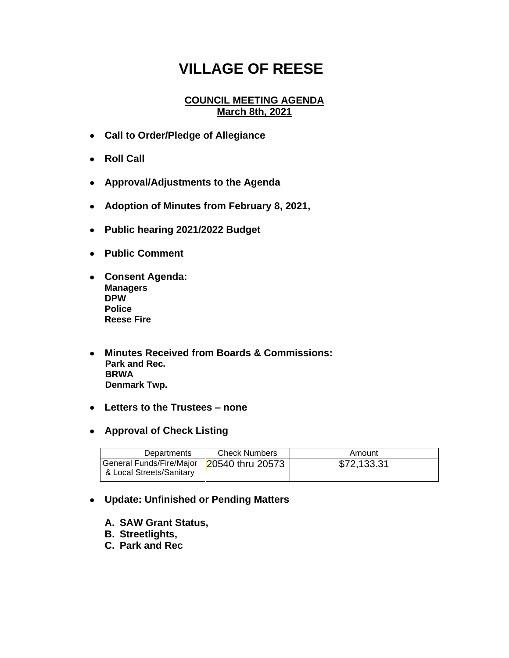## **VILLAGE OF REESE**

## **COUNCIL MEETING AGENDA March 8th, 2021**

- **Call to Order/Pledge of Allegiance**
- **Roll Call**
- **Approval/Adjustments to the Agenda**
- **Adoption of Minutes from February 8, 2021,**
- **Public hearing 2021/2022 Budget**
- **Public Comment**
- **Consent Agenda: Managers DPW Police Reese Fire**
- **Minutes Received from Boards & Commissions: Park and Rec. BRWA Denmark Twp.**
- **Letters to the Trustees – none**
- **Approval of Check Listing**

| Departments                                                             | <b>Check Numbers</b> | Amount      |
|-------------------------------------------------------------------------|----------------------|-------------|
| General Funds/Fire/Major   20540 thru 20573<br>& Local Streets/Sanitary |                      | \$72,133.31 |

## • **Update: Unfinished or Pending Matters**

- **A. SAW Grant Status,**
- **B. Streetlights,**
- **C. Park and Rec**